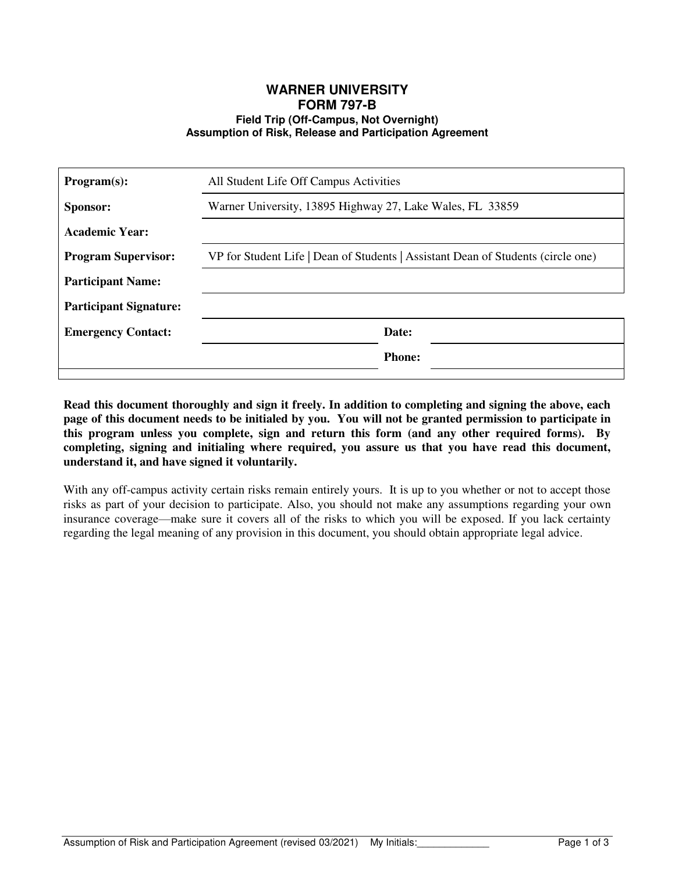### **WARNER UNIVERSITY FORM 797-B Field Trip (Off-Campus, Not Overnight) Assumption of Risk, Release and Participation Agreement**

| Program(s):                   | All Student Life Off Campus Activities                                           |
|-------------------------------|----------------------------------------------------------------------------------|
| Sponsor:                      | Warner University, 13895 Highway 27, Lake Wales, FL 33859                        |
| <b>Academic Year:</b>         |                                                                                  |
| <b>Program Supervisor:</b>    | VP for Student Life   Dean of Students   Assistant Dean of Students (circle one) |
| <b>Participant Name:</b>      |                                                                                  |
| <b>Participant Signature:</b> |                                                                                  |
| <b>Emergency Contact:</b>     | Date:                                                                            |
|                               | <b>Phone:</b>                                                                    |
|                               |                                                                                  |

**Read this document thoroughly and sign it freely. In addition to completing and signing the above, each page of this document needs to be initialed by you. You will not be granted permission to participate in this program unless you complete, sign and return this form (and any other required forms). By completing, signing and initialing where required, you assure us that you have read this document, understand it, and have signed it voluntarily.** 

With any off-campus activity certain risks remain entirely yours. It is up to you whether or not to accept those risks as part of your decision to participate. Also, you should not make any assumptions regarding your own insurance coverage—make sure it covers all of the risks to which you will be exposed. If you lack certainty regarding the legal meaning of any provision in this document, you should obtain appropriate legal advice.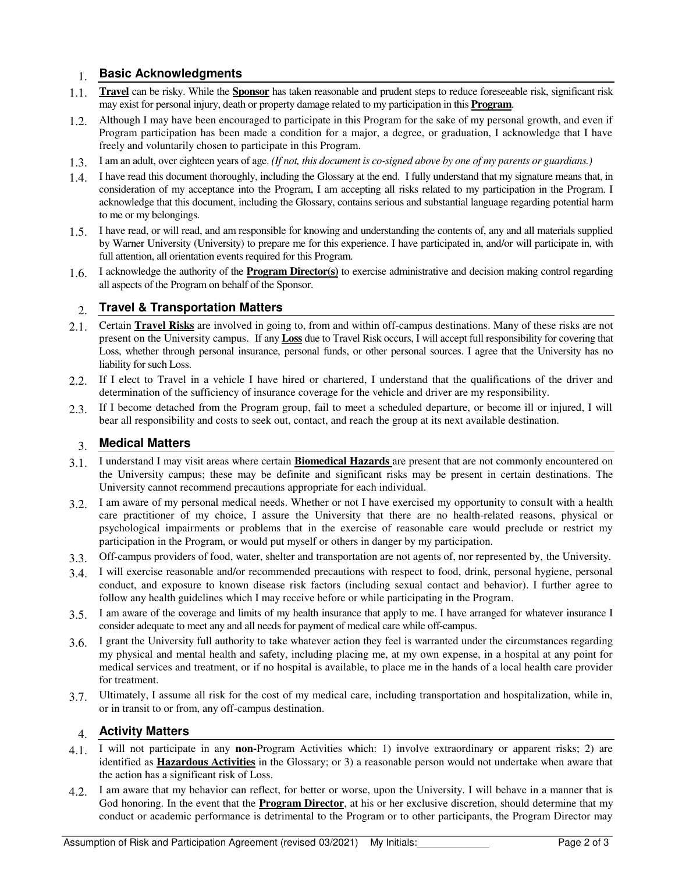# 1. **Basic Acknowledgments**

- 1.1. **Travel** can be risky. While the **Sponsor** has taken reasonable and prudent steps to reduce foreseeable risk, significant risk may exist for personal injury, death or property damage related to my participation in this **Program**.
- 1.2. Although I may have been encouraged to participate in this Program for the sake of my personal growth, and even if Program participation has been made a condition for a major, a degree, or graduation, I acknowledge that I have freely and voluntarily chosen to participate in this Program.
- 1.3. I am an adult, over eighteen years of age. *(If not, this document is co-signed above by one of my parents or guardians.)*
- 1.4. I have read this document thoroughly, including the Glossary at the end. I fully understand that my signature means that, in consideration of my acceptance into the Program, I am accepting all risks related to my participation in the Program. I acknowledge that this document, including the Glossary, contains serious and substantial language regarding potential harm to me or my belongings.
- 1.5. I have read, or will read, and am responsible for knowing and understanding the contents of, any and all materials supplied by Warner University (University) to prepare me for this experience. I have participated in, and/or will participate in, with full attention, all orientation events required for this Program.
- 1.6. I acknowledge the authority of the **Program Director(s)** to exercise administrative and decision making control regarding all aspects of the Program on behalf of the Sponsor.

## 2. **Travel & Transportation Matters**

- 2.1. Certain **Travel Risks** are involved in going to, from and within off-campus destinations. Many of these risks are not present on the University campus. If any **Loss** due to Travel Risk occurs, I will accept full responsibility for covering that Loss, whether through personal insurance, personal funds, or other personal sources. I agree that the University has no liability for such Loss.
- 2.2. If I elect to Travel in a vehicle I have hired or chartered, I understand that the qualifications of the driver and determination of the sufficiency of insurance coverage for the vehicle and driver are my responsibility.
- 2.3. If I become detached from the Program group, fail to meet a scheduled departure, or become ill or injured, I will bear all responsibility and costs to seek out, contact, and reach the group at its next available destination.

## 3. **Medical Matters**

- 3.1. I understand I may visit areas where certain **Biomedical Hazards** are present that are not commonly encountered on the University campus; these may be definite and significant risks may be present in certain destinations. The University cannot recommend precautions appropriate for each individual.
- 3.2. I am aware of my personal medical needs. Whether or not I have exercised my opportunity to consult with a health care practitioner of my choice, I assure the University that there are no health-related reasons, physical or psychological impairments or problems that in the exercise of reasonable care would preclude or restrict my participation in the Program, or would put myself or others in danger by my participation.
- 3.3. Off-campus providers of food, water, shelter and transportation are not agents of, nor represented by, the University.
- 3.4. I will exercise reasonable and/or recommended precautions with respect to food, drink, personal hygiene, personal conduct, and exposure to known disease risk factors (including sexual contact and behavior). I further agree to follow any health guidelines which I may receive before or while participating in the Program.
- 3.5. I am aware of the coverage and limits of my health insurance that apply to me. I have arranged for whatever insurance I consider adequate to meet any and all needs for payment of medical care while off-campus.
- 3.6. I grant the University full authority to take whatever action they feel is warranted under the circumstances regarding my physical and mental health and safety, including placing me, at my own expense, in a hospital at any point for medical services and treatment, or if no hospital is available, to place me in the hands of a local health care provider for treatment.
- 3.7. Ultimately, I assume all risk for the cost of my medical care, including transportation and hospitalization, while in, or in transit to or from, any off-campus destination.

# 4. **Activity Matters**

- 4.1. I will not participate in any **non-**Program Activities which: 1) involve extraordinary or apparent risks; 2) are identified as **Hazardous Activities** in the Glossary; or 3) a reasonable person would not undertake when aware that the action has a significant risk of Loss.
- 4.2. I am aware that my behavior can reflect, for better or worse, upon the University. I will behave in a manner that is God honoring. In the event that the **Program Director**, at his or her exclusive discretion, should determine that my conduct or academic performance is detrimental to the Program or to other participants, the Program Director may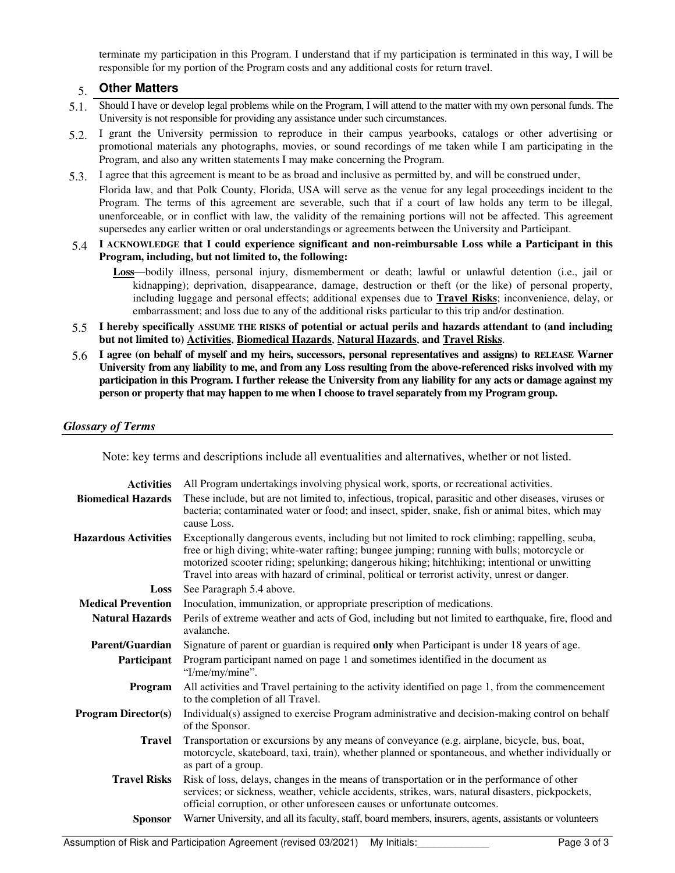terminate my participation in this Program. I understand that if my participation is terminated in this way, I will be responsible for my portion of the Program costs and any additional costs for return travel.

#### 5. **Other Matters**

- 5.1. Should I have or develop legal problems while on the Program, I will attend to the matter with my own personal funds. The University is not responsible for providing any assistance under such circumstances.
- 5.2. I grant the University permission to reproduce in their campus yearbooks, catalogs or other advertising or promotional materials any photographs, movies, or sound recordings of me taken while I am participating in the Program, and also any written statements I may make concerning the Program.
- 5.3. I agree that this agreement is meant to be as broad and inclusive as permitted by, and will be construed under, Florida law, and that Polk County, Florida, USA will serve as the venue for any legal proceedings incident to the Program. The terms of this agreement are severable, such that if a court of law holds any term to be illegal, unenforceable, or in conflict with law, the validity of the remaining portions will not be affected. This agreement supersedes any earlier written or oral understandings or agreements between the University and Participant.
- 5.4 **I ACKNOWLEDGE that I could experience significant and non-reimbursable Loss while a Participant in this Program, including, but not limited to, the following:** 
	- **Loss**—bodily illness, personal injury, dismemberment or death; lawful or unlawful detention (i.e., jail or kidnapping); deprivation, disappearance, damage, destruction or theft (or the like) of personal property, including luggage and personal effects; additional expenses due to **Travel Risks**; inconvenience, delay, or embarrassment; and loss due to any of the additional risks particular to this trip and/or destination.
- 5.5 **I hereby specifically ASSUME THE RISKS of potential or actual perils and hazards attendant to (and including but not limited to) Activities**, **Biomedical Hazards**, **Natural Hazards**, **and Travel Risks**.
- 5.6 **I agree (on behalf of myself and my heirs, successors, personal representatives and assigns) to RELEASE Warner University from any liability to me, and from any Loss resulting from the above-referenced risks involved with my participation in this Program. I further release the University from any liability for any acts or damage against my person or property that may happen to me when I choose to travel separately from my Program group.**

#### *Glossary of Terms*

Note: key terms and descriptions include all eventualities and alternatives, whether or not listed.

| <b>Activities</b>           | All Program undertakings involving physical work, sports, or recreational activities.                                                                                                                                                                                                                                                                                                           |
|-----------------------------|-------------------------------------------------------------------------------------------------------------------------------------------------------------------------------------------------------------------------------------------------------------------------------------------------------------------------------------------------------------------------------------------------|
| <b>Biomedical Hazards</b>   | These include, but are not limited to, infectious, tropical, parasitic and other diseases, viruses or<br>bacteria; contaminated water or food; and insect, spider, snake, fish or animal bites, which may<br>cause Loss.                                                                                                                                                                        |
| <b>Hazardous Activities</b> | Exceptionally dangerous events, including but not limited to rock climbing; rappelling, scuba,<br>free or high diving; white-water rafting; bungee jumping; running with bulls; motorcycle or<br>motorized scooter riding; spelunking; dangerous hiking; hitchhiking; intentional or unwitting<br>Travel into areas with hazard of criminal, political or terrorist activity, unrest or danger. |
| Loss                        | See Paragraph 5.4 above.                                                                                                                                                                                                                                                                                                                                                                        |
| <b>Medical Prevention</b>   | Inoculation, immunization, or appropriate prescription of medications.                                                                                                                                                                                                                                                                                                                          |
| <b>Natural Hazards</b>      | Perils of extreme weather and acts of God, including but not limited to earthquake, fire, flood and<br>avalanche.                                                                                                                                                                                                                                                                               |
| Parent/Guardian             | Signature of parent or guardian is required only when Participant is under 18 years of age.                                                                                                                                                                                                                                                                                                     |
| Participant                 | Program participant named on page 1 and sometimes identified in the document as<br>"I/me/my/mine".                                                                                                                                                                                                                                                                                              |
| Program                     | All activities and Travel pertaining to the activity identified on page 1, from the commencement<br>to the completion of all Travel.                                                                                                                                                                                                                                                            |
| <b>Program Director(s)</b>  | Individual(s) assigned to exercise Program administrative and decision-making control on behalf<br>of the Sponsor.                                                                                                                                                                                                                                                                              |
| <b>Travel</b>               | Transportation or excursions by any means of conveyance (e.g. airplane, bicycle, bus, boat,<br>motorcycle, skateboard, taxi, train), whether planned or spontaneous, and whether individually or<br>as part of a group.                                                                                                                                                                         |
| <b>Travel Risks</b>         | Risk of loss, delays, changes in the means of transportation or in the performance of other<br>services; or sickness, weather, vehicle accidents, strikes, wars, natural disasters, pickpockets,<br>official corruption, or other unforeseen causes or unfortunate outcomes.                                                                                                                    |
| <b>Sponsor</b>              | Warner University, and all its faculty, staff, board members, insurers, agents, assistants or volunteers                                                                                                                                                                                                                                                                                        |